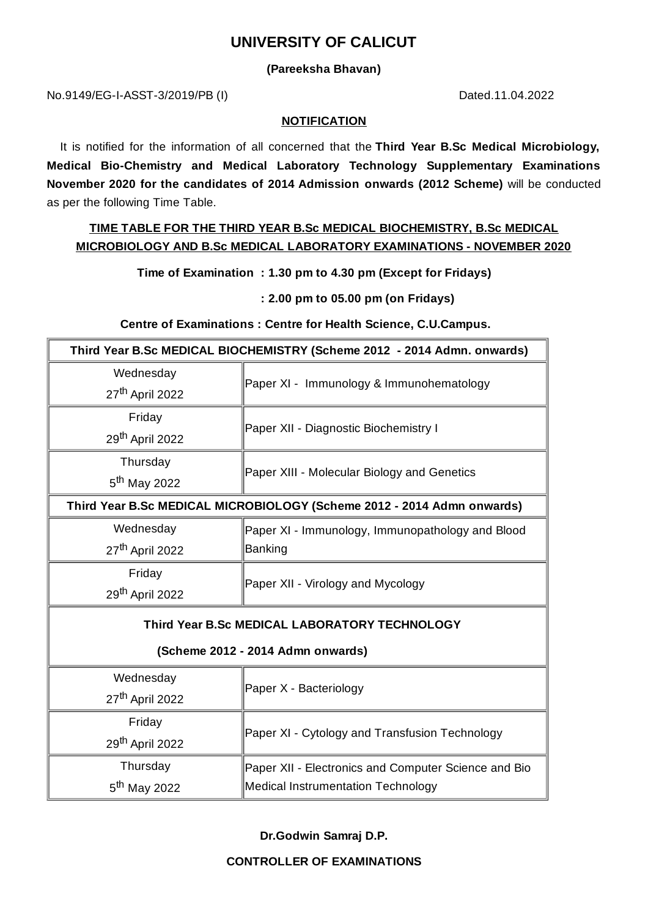# **UNIVERSITY OF CALICUT**

### **(Pareeksha Bhavan)**

No.9149/EG-I-ASST-3/2019/PB (I) Dated.11.04.2022

#### **NOTIFICATION**

It is notified for the information of all concerned that the **Third Year B.Sc Medical Microbiology, Medical Bio-Chemistry and Medical Laboratory Technology Supplementary Examinations November 2020 for the candidates of 2014 Admission onwards (2012 Scheme)** will be conducted as per the following Time Table.

## **TIME TABLE FOR THE THIRD YEAR B.Sc MEDICAL BIOCHEMISTRY, B.Sc MEDICAL MICROBIOLOGY AND B.Sc MEDICAL LABORATORY EXAMINATIONS - NOVEMBER 2020**

**Time of Examination : 1.30 pm to 4.30 pm (Except for Fridays)**

**: 2.00 pm to 05.00 pm (on Fridays)**

#### **Centre of Examinations : Centre for Health Science, C.U.Campus.**

| Third Year B.Sc MEDICAL BIOCHEMISTRY (Scheme 2012 - 2014 Admn. onwards) |                                                      |
|-------------------------------------------------------------------------|------------------------------------------------------|
| Wednesday                                                               |                                                      |
| 27 <sup>th</sup> April 2022                                             | Paper XI - Immunology & Immunohematology             |
| Friday                                                                  | Paper XII - Diagnostic Biochemistry I                |
| 29 <sup>th</sup> April 2022                                             |                                                      |
| Thursday                                                                | Paper XIII - Molecular Biology and Genetics          |
| 5 <sup>th</sup> May 2022                                                |                                                      |
| Third Year B.Sc MEDICAL MICROBIOLOGY (Scheme 2012 - 2014 Admn onwards)  |                                                      |
| Wednesday                                                               | Paper XI - Immunology, Immunopathology and Blood     |
| 27 <sup>th</sup> April 2022                                             | <b>Banking</b>                                       |
| Friday                                                                  | Paper XII - Virology and Mycology                    |
| 29 <sup>th</sup> April 2022                                             |                                                      |
| Third Year B.Sc MEDICAL LABORATORY TECHNOLOGY                           |                                                      |
| (Scheme 2012 - 2014 Admn onwards)                                       |                                                      |
| Wednesday                                                               | Paper X - Bacteriology                               |
| 27 <sup>th</sup> April 2022                                             |                                                      |
| Friday                                                                  | Paper XI - Cytology and Transfusion Technology       |
| 29 <sup>th</sup> April 2022                                             |                                                      |
| Thursday                                                                | Paper XII - Electronics and Computer Science and Bio |
| 5 <sup>th</sup> May 2022                                                | <b>Medical Instrumentation Technology</b>            |

**Dr.Godwin Samraj D.P.**

**CONTROLLER OF EXAMINATIONS**